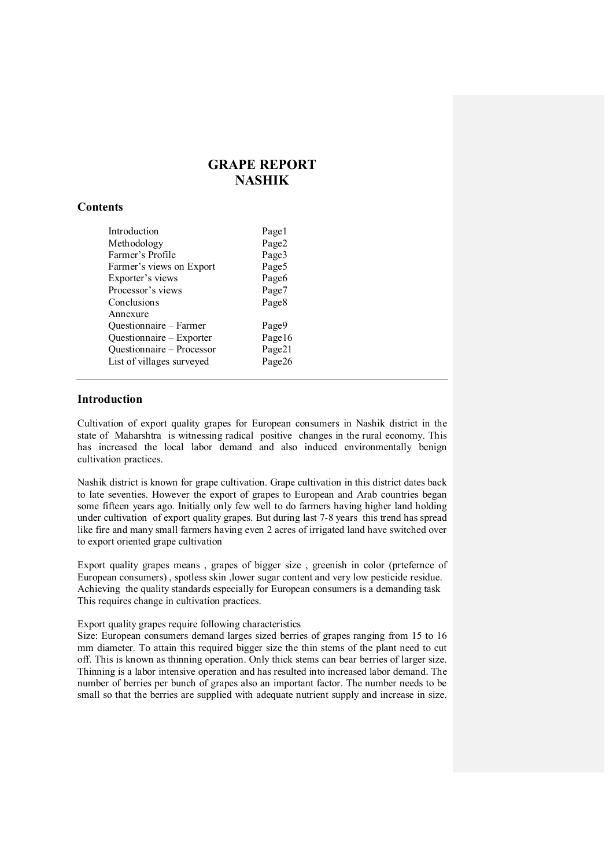# GRAPE REPORT NASHIK

# **Contents**

| Introduction                                                                                                             | Pagel                               |
|--------------------------------------------------------------------------------------------------------------------------|-------------------------------------|
| Methodology                                                                                                              | Page2                               |
| Farmer's Profile                                                                                                         | Page3                               |
| Farmer's views on Export                                                                                                 | Page5                               |
| Exporter's views                                                                                                         | Page <sub>6</sub>                   |
| Processor's views                                                                                                        | Page7                               |
| Conclusions                                                                                                              | Page <sub>8</sub>                   |
| Annexure<br>Questionnaire - Farmer<br>Questionnaire – Exporter<br>Questionnaire - Processor<br>List of villages surveyed | Page9<br>Page16<br>Page21<br>Page26 |

### Introduction

Cultivation of export quality grapes for European consumers in Nashik district in the state of Maharshtra is witnessing radical positive changes in the rural economy. This has increased the local labor demand and also induced environmentally benign cultivation practices.

Nashik district is known for grape cultivation. Grape cultivation in this district dates back to late seventies. However the export of grapes to European and Arab countries began some fifteen years ago. Initially only few well to do farmers having higher land holding under cultivation of export quality grapes. But during last 7-8 years this trend has spread like fire and many small farmers having even 2 acres of irrigated land have switched over to export oriented grape cultivation

Export quality grapes means , grapes of bigger size , greenish in color (prtefernce of European consumers) , spotless skin ,lower sugar content and very low pesticide residue. Achieving the quality standards especially for European consumers is a demanding task This requires change in cultivation practices.

### Export quality grapes require following characteristics

Size: European consumers demand larges sized berries of grapes ranging from 15 to 16 mm diameter. To attain this required bigger size the thin stems of the plant need to cut off. This is known as thinning operation. Only thick stems can bear berries of larger size. Thinning is a labor intensive operation and has resulted into increased labor demand. The number of berries per bunch of grapes also an important factor. The number needs to be small so that the berries are supplied with adequate nutrient supply and increase in size.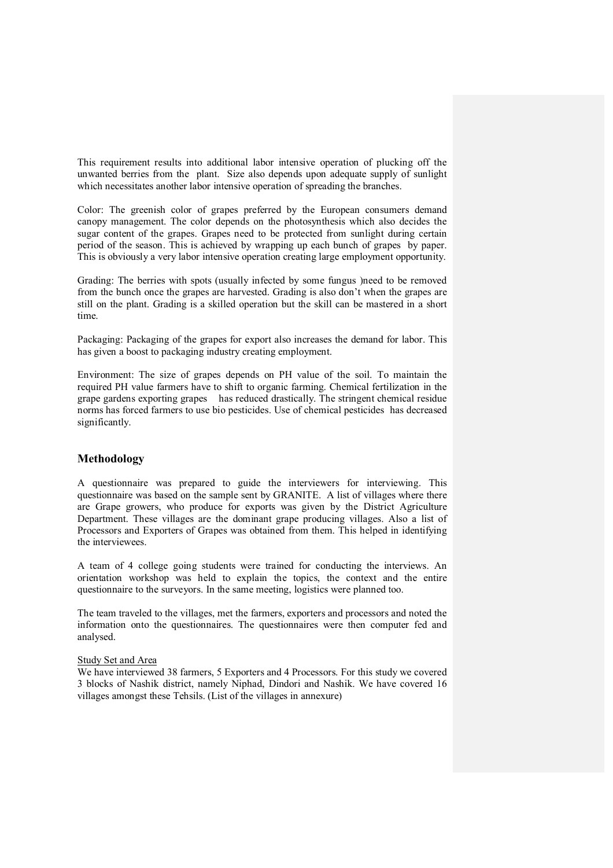This requirement results into additional labor intensive operation of plucking off the unwanted berries from the plant. Size also depends upon adequate supply of sunlight which necessitates another labor intensive operation of spreading the branches.

Color: The greenish color of grapes preferred by the European consumers demand canopy management. The color depends on the photosynthesis which also decides the sugar content of the grapes. Grapes need to be protected from sunlight during certain period of the season. This is achieved by wrapping up each bunch of grapes by paper. This is obviously a very labor intensive operation creating large employment opportunity.

Grading: The berries with spots (usually infected by some fungus )need to be removed from the bunch once the grapes are harvested. Grading is also don't when the grapes are still on the plant. Grading is a skilled operation but the skill can be mastered in a short time.

Packaging: Packaging of the grapes for export also increases the demand for labor. This has given a boost to packaging industry creating employment.

Environment: The size of grapes depends on PH value of the soil. To maintain the required PH value farmers have to shift to organic farming. Chemical fertilization in the grape gardens exporting grapes has reduced drastically. The stringent chemical residue norms has forced farmers to use bio pesticides. Use of chemical pesticides has decreased significantly.

### Methodology

A questionnaire was prepared to guide the interviewers for interviewing. This questionnaire was based on the sample sent by GRANITE. A list of villages where there are Grape growers, who produce for exports was given by the District Agriculture Department. These villages are the dominant grape producing villages. Also a list of Processors and Exporters of Grapes was obtained from them. This helped in identifying the interviewees.

A team of 4 college going students were trained for conducting the interviews. An orientation workshop was held to explain the topics, the context and the entire questionnaire to the surveyors. In the same meeting, logistics were planned too.

The team traveled to the villages, met the farmers, exporters and processors and noted the information onto the questionnaires. The questionnaires were then computer fed and analysed.

### Study Set and Area

We have interviewed 38 farmers, 5 Exporters and 4 Processors. For this study we covered 3 blocks of Nashik district, namely Niphad, Dindori and Nashik. We have covered 16 villages amongst these Tehsils. (List of the villages in annexure)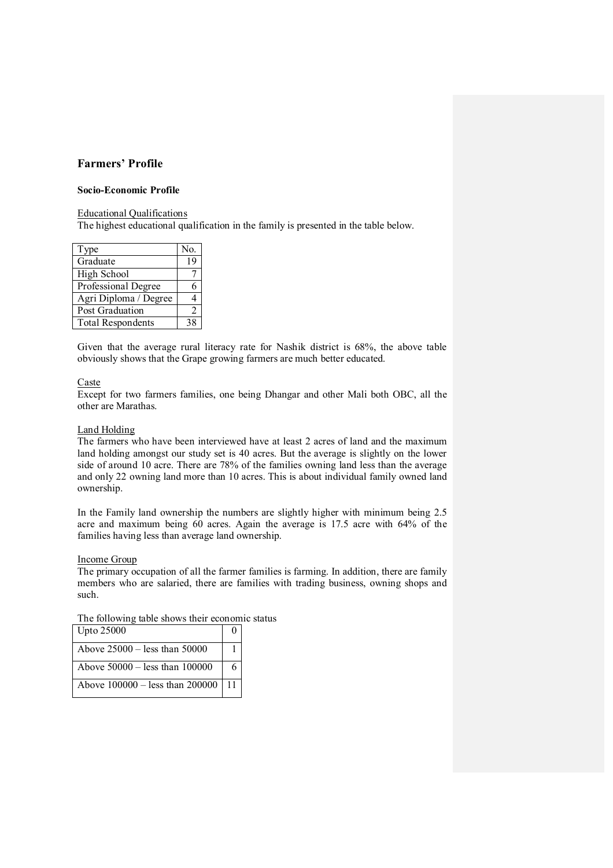# Farmers' Profile

### Socio-Economic Profile

### Educational Qualifications

The highest educational qualification in the family is presented in the table below.

| Type                     | No. |
|--------------------------|-----|
| Graduate                 | 19  |
| High School              |     |
| Professional Degree      |     |
| Agri Diploma / Degree    |     |
| Post Graduation          | 2   |
| <b>Total Respondents</b> | 38  |

Given that the average rural literacy rate for Nashik district is 68%, the above table obviously shows that the Grape growing farmers are much better educated.

### Caste

Except for two farmers families, one being Dhangar and other Mali both OBC, all the other are Marathas.

### Land Holding

The farmers who have been interviewed have at least 2 acres of land and the maximum land holding amongst our study set is 40 acres. But the average is slightly on the lower side of around 10 acre. There are 78% of the families owning land less than the average and only 22 owning land more than 10 acres. This is about individual family owned land ownership.

In the Family land ownership the numbers are slightly higher with minimum being 2.5 acre and maximum being 60 acres. Again the average is 17.5 acre with 64% of the families having less than average land ownership.

### Income Group

The primary occupation of all the farmer families is farming. In addition, there are family members who are salaried, there are families with trading business, owning shops and such.

| The following table shows their economic status |
|-------------------------------------------------|
|-------------------------------------------------|

| <b>Upto 25000</b>                        |   |  |
|------------------------------------------|---|--|
| Above $25000 -$ less than 50000          |   |  |
| Above $50000 -$ less than $100000$       | 6 |  |
| Above $100000 -$ less than $200000$   11 |   |  |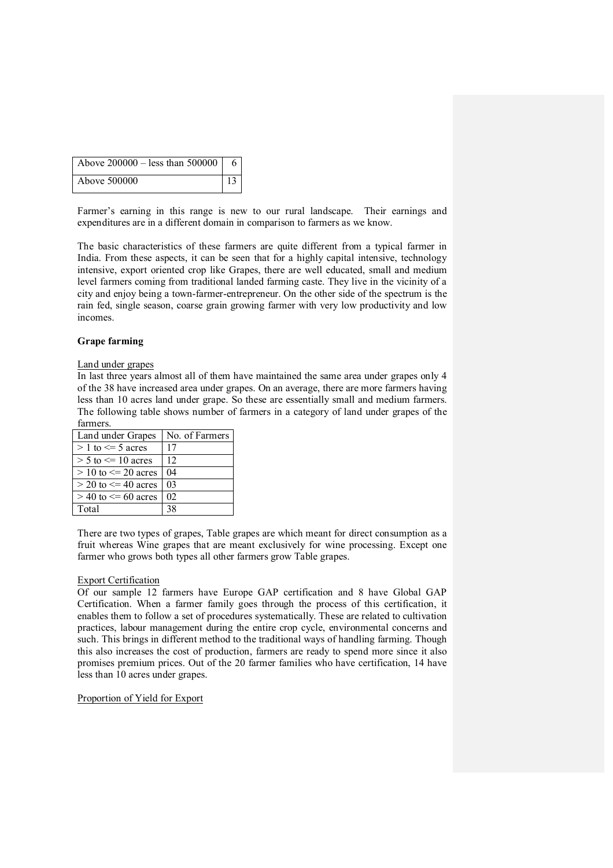| Above $200000 - \text{less than } 500000 \mid 6$ |            |
|--------------------------------------------------|------------|
| Above 500000                                     | $\vert$ 13 |

Farmer's earning in this range is new to our rural landscape. Their earnings and expenditures are in a different domain in comparison to farmers as we know.

The basic characteristics of these farmers are quite different from a typical farmer in India. From these aspects, it can be seen that for a highly capital intensive, technology intensive, export oriented crop like Grapes, there are well educated, small and medium level farmers coming from traditional landed farming caste. They live in the vicinity of a city and enjoy being a town-farmer-entrepreneur. On the other side of the spectrum is the rain fed, single season, coarse grain growing farmer with very low productivity and low incomes.

### Grape farming

#### Land under grapes

In last three years almost all of them have maintained the same area under grapes only 4 of the 38 have increased area under grapes. On an average, there are more farmers having less than 10 acres land under grape. So these are essentially small and medium farmers. The following table shows number of farmers in a category of land under grapes of the farmers.

| Land under Grapes         | No. of Farmers |
|---------------------------|----------------|
| $> 1$ to $\leq 5$ acres   | 17             |
| $> 5$ to $\leq 10$ acres  | 12             |
| $> 10$ to $\leq 20$ acres | 04             |
| $>$ 20 to $\leq$ 40 acres | 03             |
| $>$ 40 to $\leq$ 60 acres | 02             |
| Total                     | 38             |

There are two types of grapes, Table grapes are which meant for direct consumption as a fruit whereas Wine grapes that are meant exclusively for wine processing. Except one farmer who grows both types all other farmers grow Table grapes.

### Export Certification

Of our sample 12 farmers have Europe GAP certification and 8 have Global GAP Certification. When a farmer family goes through the process of this certification, it enables them to follow a set of procedures systematically. These are related to cultivation practices, labour management during the entire crop cycle, environmental concerns and such. This brings in different method to the traditional ways of handling farming. Though this also increases the cost of production, farmers are ready to spend more since it also promises premium prices. Out of the 20 farmer families who have certification, 14 have less than 10 acres under grapes.

### Proportion of Yield for Export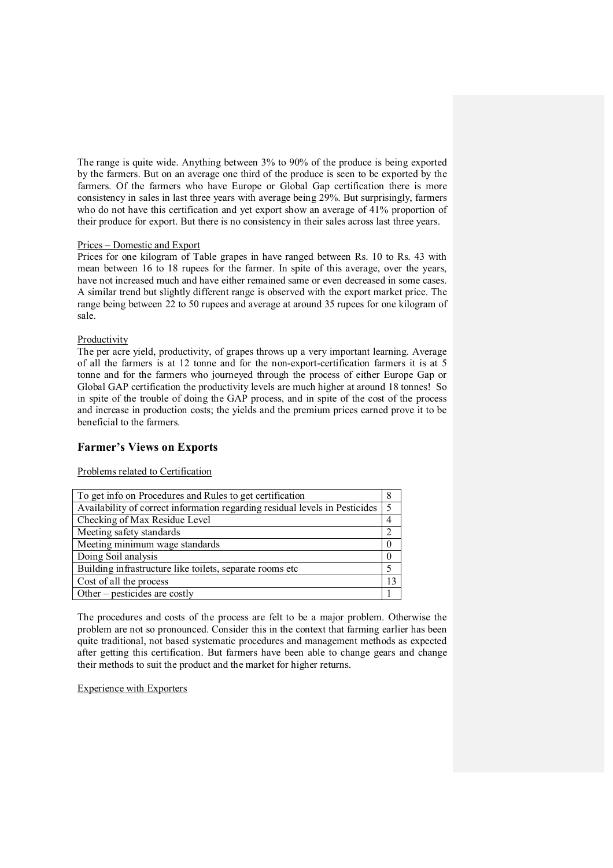The range is quite wide. Anything between 3% to 90% of the produce is being exported by the farmers. But on an average one third of the produce is seen to be exported by the farmers. Of the farmers who have Europe or Global Gap certification there is more consistency in sales in last three years with average being 29%. But surprisingly, farmers who do not have this certification and yet export show an average of 41% proportion of their produce for export. But there is no consistency in their sales across last three years.

### Prices – Domestic and Export

Prices for one kilogram of Table grapes in have ranged between Rs. 10 to Rs. 43 with mean between 16 to 18 rupees for the farmer. In spite of this average, over the years, have not increased much and have either remained same or even decreased in some cases. A similar trend but slightly different range is observed with the export market price. The range being between 22 to 50 rupees and average at around 35 rupees for one kilogram of sale.

### Productivity

The per acre yield, productivity, of grapes throws up a very important learning. Average of all the farmers is at 12 tonne and for the non-export-certification farmers it is at 5 tonne and for the farmers who journeyed through the process of either Europe Gap or Global GAP certification the productivity levels are much higher at around 18 tonnes! So in spite of the trouble of doing the GAP process, and in spite of the cost of the process and increase in production costs; the yields and the premium prices earned prove it to be beneficial to the farmers.

# Farmer's Views on Exports

Problems related to Certification

| To get info on Procedures and Rules to get certification                    |  |
|-----------------------------------------------------------------------------|--|
| Availability of correct information regarding residual levels in Pesticides |  |
| Checking of Max Residue Level                                               |  |
| Meeting safety standards                                                    |  |
| Meeting minimum wage standards                                              |  |
| Doing Soil analysis                                                         |  |
| Building infrastructure like toilets, separate rooms etc                    |  |
| Cost of all the process                                                     |  |
| Other – pesticides are costly                                               |  |

The procedures and costs of the process are felt to be a major problem. Otherwise the problem are not so pronounced. Consider this in the context that farming earlier has been quite traditional, not based systematic procedures and management methods as expected after getting this certification. But farmers have been able to change gears and change their methods to suit the product and the market for higher returns.

Experience with Exporters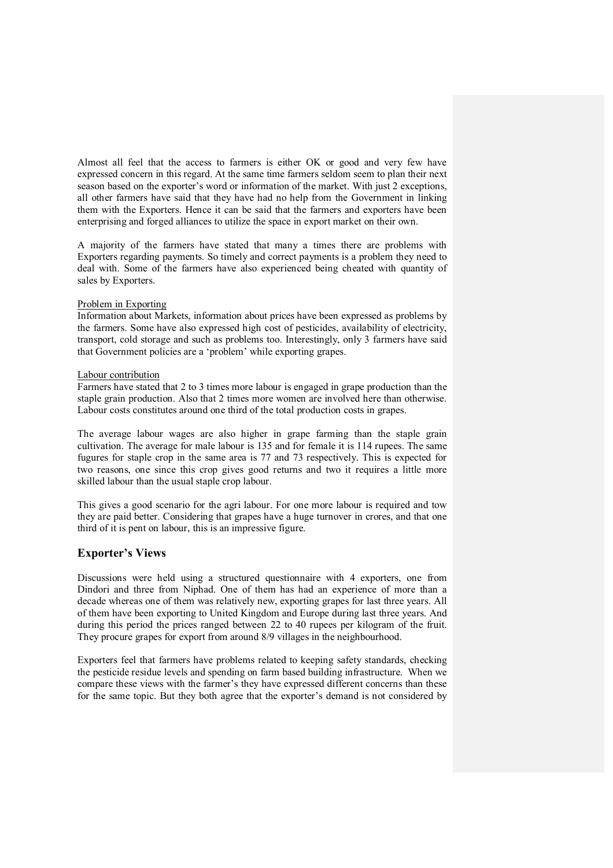Almost all feel that the access to farmers is either OK or good and very few have expressed concern in this regard. At the same time farmers seldom seem to plan their next season based on the exporter's word or information of the market. With just 2 exceptions, all other farmers have said that they have had no help from the Government in linking them with the Exporters. Hence it can be said that the farmers and exporters have been enterprising and forged alliances to utilize the space in export market on their own.

A majority of the farmers have stated that many a times there are problems with Exporters regarding payments. So timely and correct payments is a problem they need to deal with. Some of the farmers have also experienced being cheated with quantity of sales by Exporters.

### Problem in Exporting

Information about Markets, information about prices have been expressed as problems by the farmers. Some have also expressed high cost of pesticides, availability of electricity, transport, cold storage and such as problems too. Interestingly, only 3 farmers have said that Government policies are a 'problem' while exporting grapes.

#### Labour contribution

Farmers have stated that 2 to 3 times more labour is engaged in grape production than the staple grain production. Also that 2 times more women are involved here than otherwise. Labour costs constitutes around one third of the total production costs in grapes.

The average labour wages are also higher in grape farming than the staple grain cultivation. The average for male labour is 135 and for female it is 114 rupees. The same fugures for staple crop in the same area is 77 and 73 respectively. This is expected for two reasons, one since this crop gives good returns and two it requires a little more skilled labour than the usual staple crop labour.

This gives a good scenario for the agri labour. For one more labour is required and tow they are paid better. Considering that grapes have a huge turnover in crores, and that one third of it is pent on labour, this is an impressive figure.

### Exporter's Views

Discussions were held using a structured questionnaire with 4 exporters, one from Dindori and three from Niphad. One of them has had an experience of more than a decade whereas one of them was relatively new, exporting grapes for last three years. All of them have been exporting to United Kingdom and Europe during last three years. And during this period the prices ranged between 22 to 40 rupees per kilogram of the fruit. They procure grapes for export from around 8/9 villages in the neighbourhood.

Exporters feel that farmers have problems related to keeping safety standards, checking the pesticide residue levels and spending on farm based building infrastructure. When we compare these views with the farmer's they have expressed different concerns than these for the same topic. But they both agree that the exporter's demand is not considered by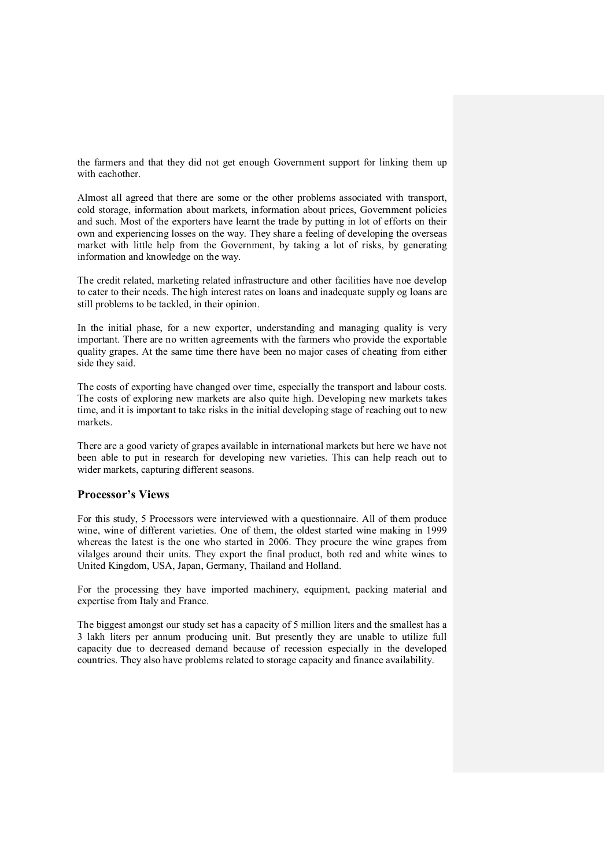the farmers and that they did not get enough Government support for linking them up with eachother.

Almost all agreed that there are some or the other problems associated with transport, cold storage, information about markets, information about prices, Government policies and such. Most of the exporters have learnt the trade by putting in lot of efforts on their own and experiencing losses on the way. They share a feeling of developing the overseas market with little help from the Government, by taking a lot of risks, by generating information and knowledge on the way.

The credit related, marketing related infrastructure and other facilities have noe develop to cater to their needs. The high interest rates on loans and inadequate supply og loans are still problems to be tackled, in their opinion.

In the initial phase, for a new exporter, understanding and managing quality is very important. There are no written agreements with the farmers who provide the exportable quality grapes. At the same time there have been no major cases of cheating from either side they said.

The costs of exporting have changed over time, especially the transport and labour costs. The costs of exploring new markets are also quite high. Developing new markets takes time, and it is important to take risks in the initial developing stage of reaching out to new markets.

There are a good variety of grapes available in international markets but here we have not been able to put in research for developing new varieties. This can help reach out to wider markets, capturing different seasons.

## Processor's Views

For this study, 5 Processors were interviewed with a questionnaire. All of them produce wine, wine of different varieties. One of them, the oldest started wine making in 1999 whereas the latest is the one who started in 2006. They procure the wine grapes from vilalges around their units. They export the final product, both red and white wines to United Kingdom, USA, Japan, Germany, Thailand and Holland.

For the processing they have imported machinery, equipment, packing material and expertise from Italy and France.

The biggest amongst our study set has a capacity of 5 million liters and the smallest has a 3 lakh liters per annum producing unit. But presently they are unable to utilize full capacity due to decreased demand because of recession especially in the developed countries. They also have problems related to storage capacity and finance availability.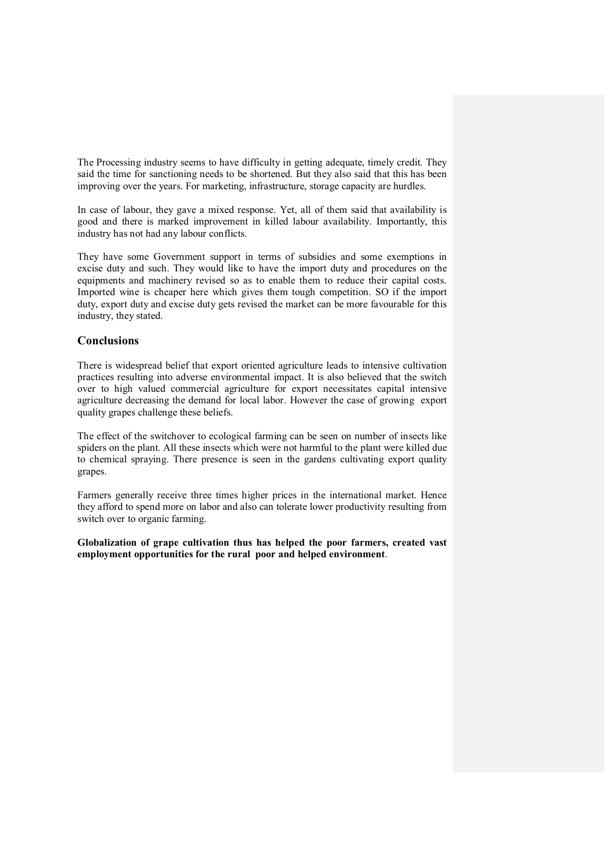The Processing industry seems to have difficulty in getting adequate, timely credit. They said the time for sanctioning needs to be shortened. But they also said that this has been improving over the years. For marketing, infrastructure, storage capacity are hurdles.

In case of labour, they gave a mixed response. Yet, all of them said that availability is good and there is marked improvement in killed labour availability. Importantly, this industry has not had any labour conflicts.

They have some Government support in terms of subsidies and some exemptions in excise duty and such. They would like to have the import duty and procedures on the equipments and machinery revised so as to enable them to reduce their capital costs. Imported wine is cheaper here which gives them tough competition. SO if the import duty, export duty and excise duty gets revised the market can be more favourable for this industry, they stated.

### **Conclusions**

There is widespread belief that export oriented agriculture leads to intensive cultivation practices resulting into adverse environmental impact. It is also believed that the switch over to high valued commercial agriculture for export necessitates capital intensive agriculture decreasing the demand for local labor. However the case of growing export quality grapes challenge these beliefs.

The effect of the switchover to ecological farming can be seen on number of insects like spiders on the plant. All these insects which were not harmful to the plant were killed due to chemical spraying. There presence is seen in the gardens cultivating export quality grapes.

Farmers generally receive three times higher prices in the international market. Hence they afford to spend more on labor and also can tolerate lower productivity resulting from switch over to organic farming.

Globalization of grape cultivation thus has helped the poor farmers, created vast employment opportunities for the rural poor and helped environment.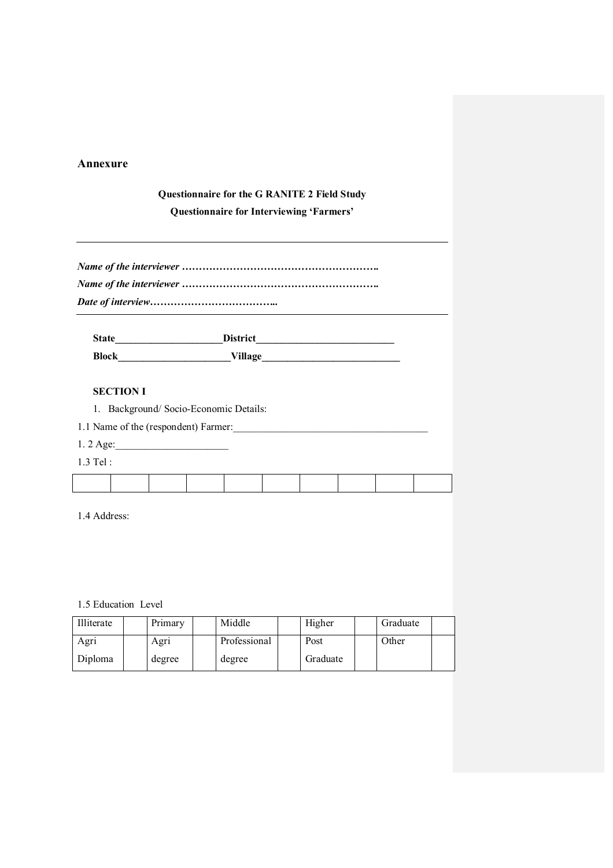# Annexure

# Questionnaire for the G RANITE 2 Field Study

Questionnaire for Interviewing 'Farmers'

| <b>State</b> | <b>District</b> |
|--------------|-----------------|
| <b>Block</b> | Village         |

# SECTION I

1. Background/ Socio-Economic Details:

1.1 Name of the (respondent) Farmer:

- 1. 2 Age:\_\_\_\_\_\_\_\_\_\_\_\_\_\_\_\_\_\_\_\_\_\_
- 1.3 Tel :

1.4 Address:

1.5 Education Level

| Illiterate | Primary | Middle       | Higher   | Graduate |  |
|------------|---------|--------------|----------|----------|--|
| Agri       | Agri    | Professional | Post     | Other    |  |
| Diploma    | degree  | degree       | Graduate |          |  |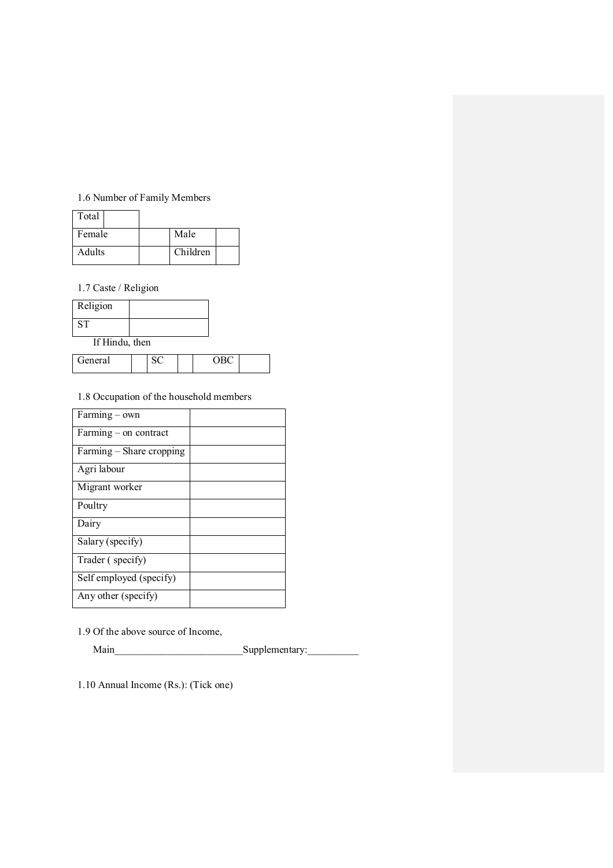# 1.6 Number of Family Members

| Total         |          |  |
|---------------|----------|--|
| Female        | Male     |  |
| <b>Adults</b> | Children |  |

1.7 Caste / Religion

| Religion  |  |
|-----------|--|
| <b>ST</b> |  |

If Hindu, then

| eneral<br>11 T L L L |  | - - |  |
|----------------------|--|-----|--|
|                      |  |     |  |

# 1.8 Occupation of the household members

| Farming - own            |  |
|--------------------------|--|
| $Farming - on contract$  |  |
| Farming - Share cropping |  |
| Agri labour              |  |
| Migrant worker           |  |
| Poultry                  |  |
| Dairy                    |  |
| Salary (specify)         |  |
| Trader (specify)         |  |
| Self employed (specify)  |  |
| Any other (specify)      |  |

1.9 Of the above source of Income,

Main\_\_\_\_\_\_\_\_\_\_\_\_\_\_\_\_\_\_\_\_\_\_\_\_\_Supplementary:\_\_\_\_\_\_\_\_\_\_

1.10 Annual Income (Rs.): (Tick one)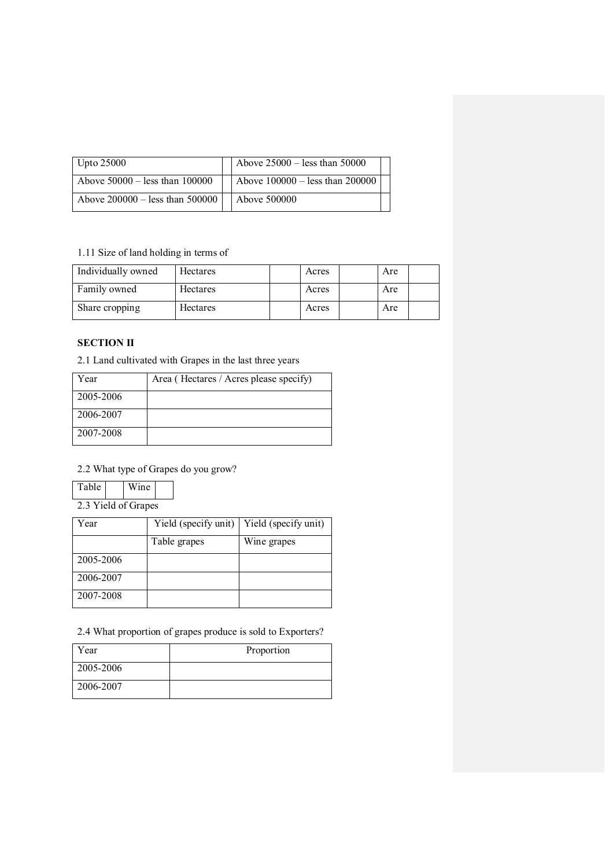| Upto $25000$                       | Above $25000$ – less than 50000   |  |
|------------------------------------|-----------------------------------|--|
| Above $50000 -$ less than $100000$ | Above $100000 -$ less than 200000 |  |
| Above $200000 -$ less than 500000  | Above 500000                      |  |

# 1.11 Size of land holding in terms of

| Individually owned | <b>Hectares</b> | Acres | Are |
|--------------------|-----------------|-------|-----|
| Family owned       | <b>Hectares</b> | Acres | Are |
| Share cropping     | <b>Hectares</b> | Acres | Are |

# SECTION II

2.1 Land cultivated with Grapes in the last three years

| Year      | Area (Hectares / Acres please specify) |
|-----------|----------------------------------------|
| 2005-2006 |                                        |
| 2006-2007 |                                        |
| 2007-2008 |                                        |

# 2.2 What type of Grapes do you grow?

| Table               |  | Wine |  |  |
|---------------------|--|------|--|--|
| 2.3 Yield of Grapes |  |      |  |  |

Year Yield (specify unit) Yield (specify unit) Table grapes Wine grapes 2005-2006 2006-2007 2007-2008

2.4 What proportion of grapes produce is sold to Exporters?

| Year      | Proportion |
|-----------|------------|
| 2005-2006 |            |
| 2006-2007 |            |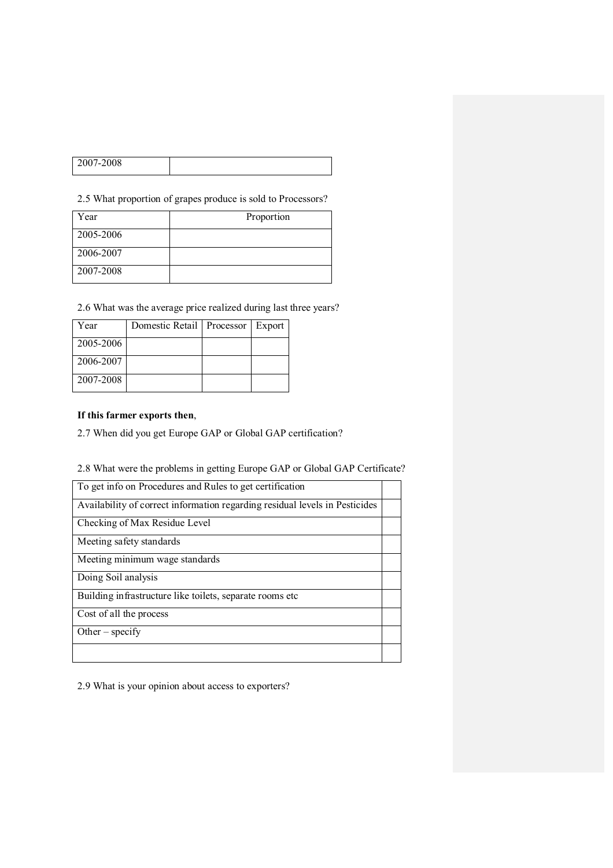| 2007-2008 |  |
|-----------|--|
|           |  |

2.5 What proportion of grapes produce is sold to Processors?

| Year      | Proportion |
|-----------|------------|
| 2005-2006 |            |
| 2006-2007 |            |
| 2007-2008 |            |

2.6 What was the average price realized during last three years?

| Year      | Domestic Retail   Processor   Export |  |
|-----------|--------------------------------------|--|
| 2005-2006 |                                      |  |
| 2006-2007 |                                      |  |
| 2007-2008 |                                      |  |

# If this farmer exports then,

2.7 When did you get Europe GAP or Global GAP certification?

# 2.8 What were the problems in getting Europe GAP or Global GAP Certificate?

| To get info on Procedures and Rules to get certification                    |  |
|-----------------------------------------------------------------------------|--|
| Availability of correct information regarding residual levels in Pesticides |  |
| Checking of Max Residue Level                                               |  |
| Meeting safety standards                                                    |  |
| Meeting minimum wage standards                                              |  |
| Doing Soil analysis                                                         |  |
| Building infrastructure like toilets, separate rooms etc.                   |  |
| Cost of all the process                                                     |  |
| Other $-$ specify                                                           |  |
|                                                                             |  |

2.9 What is your opinion about access to exporters?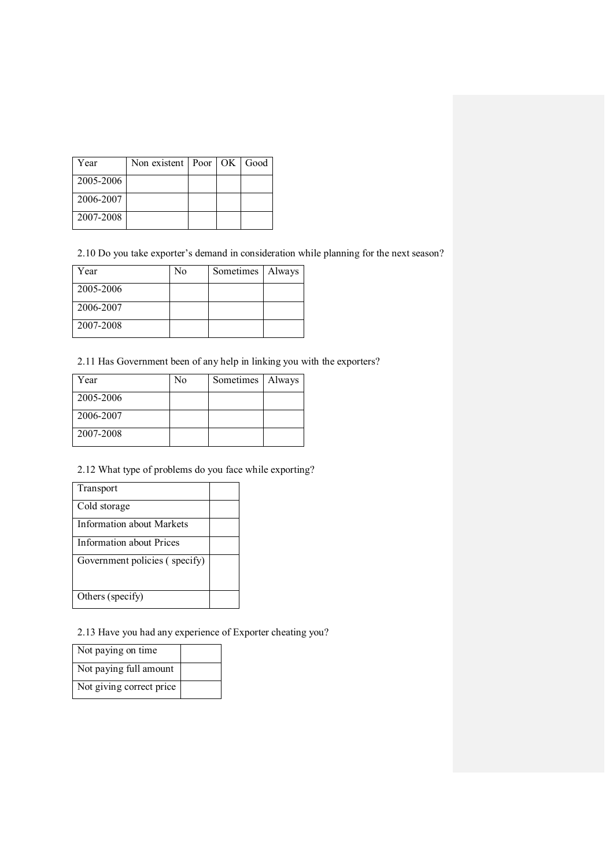| Year      | Non existent   Poor   OK   Good |  |  |
|-----------|---------------------------------|--|--|
| 2005-2006 |                                 |  |  |
| 2006-2007 |                                 |  |  |
| 2007-2008 |                                 |  |  |

2.10 Do you take exporter's demand in consideration while planning for the next season?

| Year      | No | Sometimes | Always |
|-----------|----|-----------|--------|
| 2005-2006 |    |           |        |
| 2006-2007 |    |           |        |
| 2007-2008 |    |           |        |

2.11 Has Government been of any help in linking you with the exporters?

| Year      | N <sub>0</sub> | Sometimes   Always |  |
|-----------|----------------|--------------------|--|
| 2005-2006 |                |                    |  |
| 2006-2007 |                |                    |  |
| 2007-2008 |                |                    |  |

# 2.12 What type of problems do you face while exporting?

| Transport                     |  |
|-------------------------------|--|
| Cold storage                  |  |
| Information about Markets     |  |
| Information about Prices      |  |
| Government policies (specify) |  |
| Others (specify)              |  |

2.13 Have you had any experience of Exporter cheating you?

| Not paying on time       |  |
|--------------------------|--|
| Not paying full amount   |  |
| Not giving correct price |  |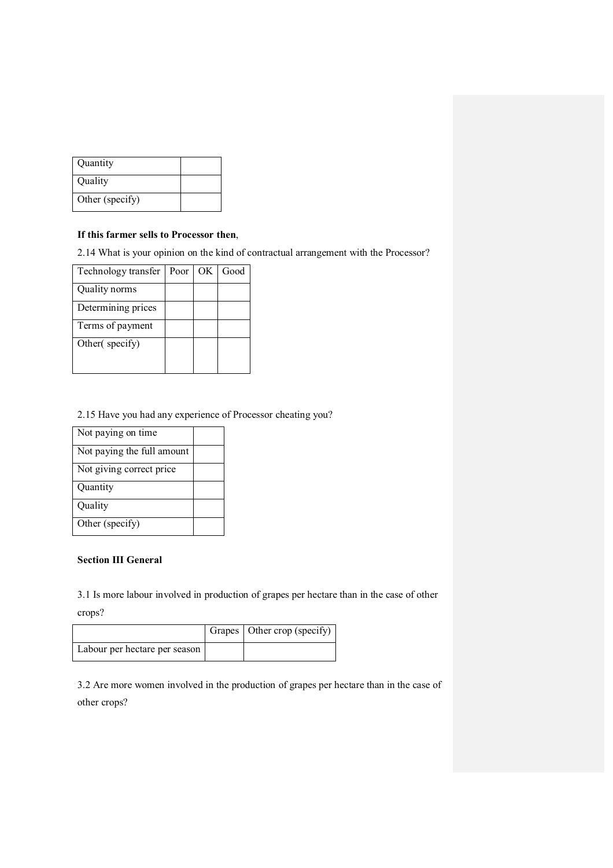| Quantity        |  |
|-----------------|--|
| Quality         |  |
| Other (specify) |  |

## If this farmer sells to Processor then,

2.14 What is your opinion on the kind of contractual arrangement with the Processor?

| Technology transfer | Poor | OK | Good |
|---------------------|------|----|------|
| Quality norms       |      |    |      |
| Determining prices  |      |    |      |
| Terms of payment    |      |    |      |
| Other (specify)     |      |    |      |
|                     |      |    |      |

# 2.15 Have you had any experience of Processor cheating you?

| Not paying on time         |  |
|----------------------------|--|
| Not paying the full amount |  |
| Not giving correct price   |  |
| Quantity                   |  |
| Quality                    |  |
| Other (specify)            |  |

# Section III General

3.1 Is more labour involved in production of grapes per hectare than in the case of other crops?

|                               | Grapes   Other crop (specify) |
|-------------------------------|-------------------------------|
| Labour per hectare per season |                               |

3.2 Are more women involved in the production of grapes per hectare than in the case of other crops?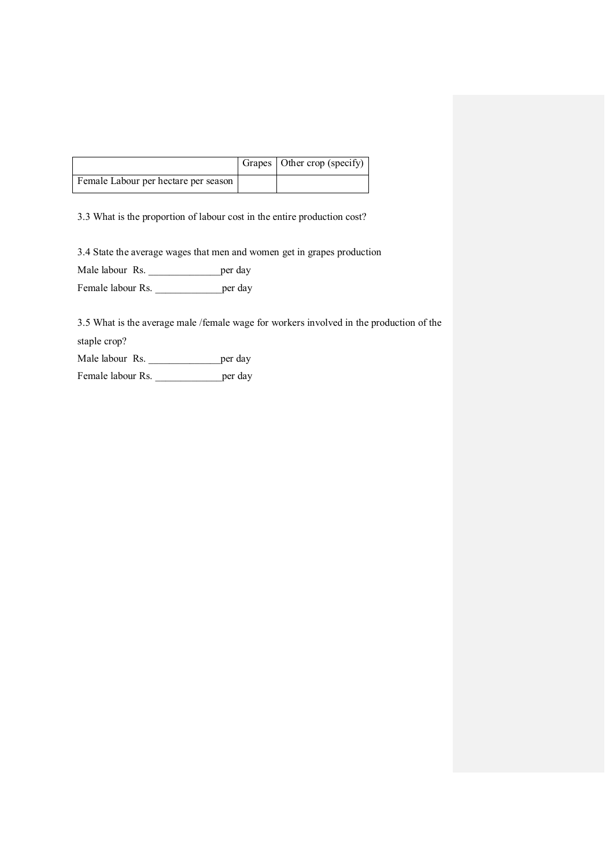|                                      | Grapes   Other crop (specify) |
|--------------------------------------|-------------------------------|
| Female Labour per hectare per season |                               |

3.3 What is the proportion of labour cost in the entire production cost?

3.4 State the average wages that men and women get in grapes production

Male labour Rs. \_\_\_\_\_\_\_\_\_\_\_\_\_\_\_\_\_\_\_\_per day

Female labour Rs.  $per$  day

3.5 What is the average male /female wage for workers involved in the production of the staple crop?

Male labour Rs.  $\qquad \qquad$  per day

Female labour Rs. \_\_\_\_\_\_\_\_\_\_\_\_\_\_\_\_\_\_per day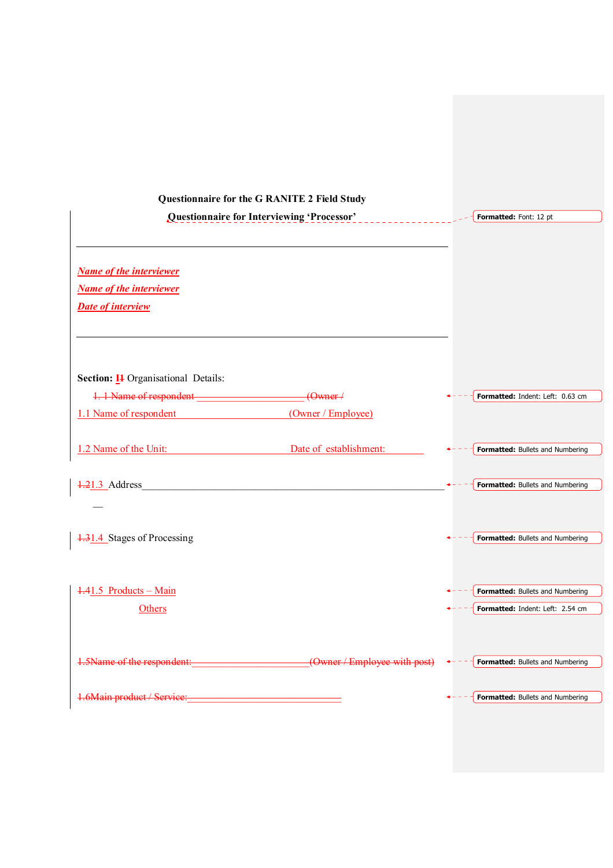| Questionnaire for the G RANITE 2 Field Study                                                                                                     |                        |                                  |
|--------------------------------------------------------------------------------------------------------------------------------------------------|------------------------|----------------------------------|
| Questionnaire for Interviewing 'Processor'                                                                                                       |                        | Formatted: Font: 12 pt           |
|                                                                                                                                                  |                        |                                  |
|                                                                                                                                                  |                        |                                  |
| <b>Name of the interviewer</b>                                                                                                                   |                        |                                  |
| <b>Name of the interviewer</b>                                                                                                                   |                        |                                  |
| <b>Date of interview</b>                                                                                                                         |                        |                                  |
|                                                                                                                                                  |                        |                                  |
|                                                                                                                                                  |                        |                                  |
|                                                                                                                                                  |                        |                                  |
| Section: I <sub>1</sub> Organisational Details:                                                                                                  |                        |                                  |
| 1. 1 Name of respondent ________________________(Owner /                                                                                         |                        | Formatted: Indent: Left: 0.63 cm |
| 1.1 Name of respondent                                                                                                                           | (Owner / Employee)     |                                  |
|                                                                                                                                                  |                        |                                  |
| 1.2 Name of the Unit:                                                                                                                            | Date of establishment: | Formatted: Bullets and Numbering |
|                                                                                                                                                  |                        |                                  |
| <u> 1989 - Johann Barbara, martin amerikan basar dan basa dalam basa dalam basa dalam basa dalam basa dalam basa</u><br>$\frac{21.3}{ }$ Address |                        | Formatted: Bullets and Numbering |
|                                                                                                                                                  |                        |                                  |
|                                                                                                                                                  |                        |                                  |
| 1.31.4 Stages of Processing                                                                                                                      |                        | Formatted: Bullets and Numbering |
|                                                                                                                                                  |                        |                                  |
|                                                                                                                                                  |                        |                                  |
| 1.41.5 Products - Main                                                                                                                           |                        | Formatted: Bullets and Numbering |
| Others                                                                                                                                           |                        | Formatted: Indent: Left: 2.54 cm |
|                                                                                                                                                  |                        |                                  |
|                                                                                                                                                  |                        |                                  |
| 1.5Name of the respondent: (Owner / Employee with post)                                                                                          |                        | Formatted: Bullets and Numbering |
|                                                                                                                                                  |                        |                                  |
| 1.6Main product / Service:                                                                                                                       |                        | Formatted: Bullets and Numbering |
|                                                                                                                                                  |                        |                                  |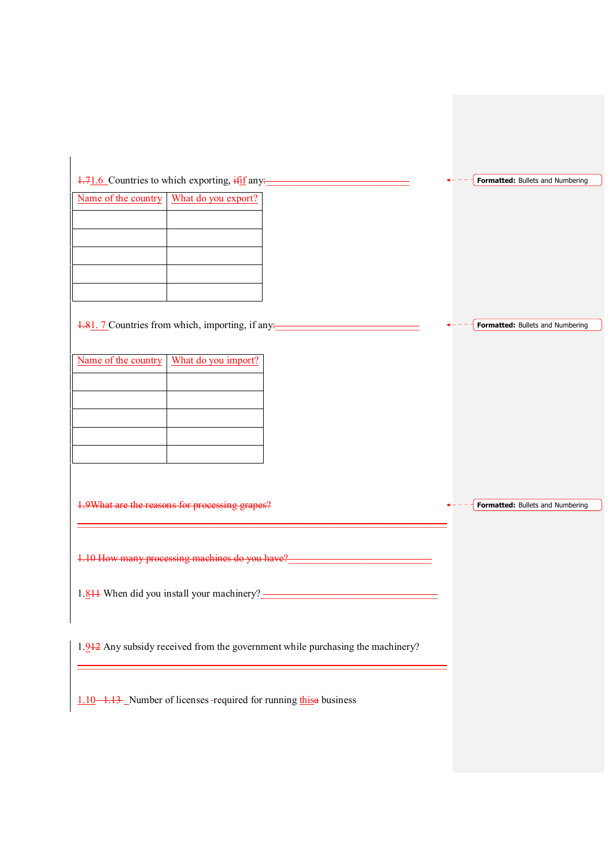$1.71.6$  Countries to which exporting,  $\frac{1 \cdot \text{if} f}{1 \cdot \text{if}}$  any:

| Name of the country   What do you export? |
|-------------------------------------------|
|                                           |
|                                           |
|                                           |
|                                           |
|                                           |

1.81. 7 Countries from which, importing, if any:

| Name of the country   What do you import? |
|-------------------------------------------|
|                                           |
|                                           |
|                                           |
|                                           |
|                                           |

1.9What are the reasons for processing grapes?

1.10 How many processing machines do you have?

1.811 When did you install your machinery? \_\_\_\_\_\_\_\_\_\_\_\_\_\_\_\_\_\_\_\_\_\_\_\_\_\_\_\_\_\_\_\_\_\_

\_\_\_\_\_\_\_\_\_\_\_\_\_\_\_\_\_\_\_\_\_\_\_\_\_\_\_\_\_\_\_\_\_\_\_\_\_\_\_\_\_\_\_\_\_\_\_\_\_\_\_\_\_\_\_\_\_\_\_\_\_\_\_\_\_\_\_\_\_\_\_\_

1.912 Any subsidy received from the government while purchasing the machinery?

\_\_\_\_\_\_\_\_\_\_\_\_\_\_\_\_\_\_\_\_\_\_\_\_\_\_\_\_\_\_\_\_\_\_\_\_\_\_\_\_\_\_\_\_\_\_\_\_\_\_\_\_\_\_\_\_\_\_\_\_\_\_\_\_\_\_\_\_\_\_\_\_

1.10 1.13 Number of licenses -required for running this a business

Formatted: Bullets and Numbering

**Formatted: Bullets and Numbering** 

 $\leftarrow$  - - -  $\leftarrow$  **Formatted:** Bullets and Numbering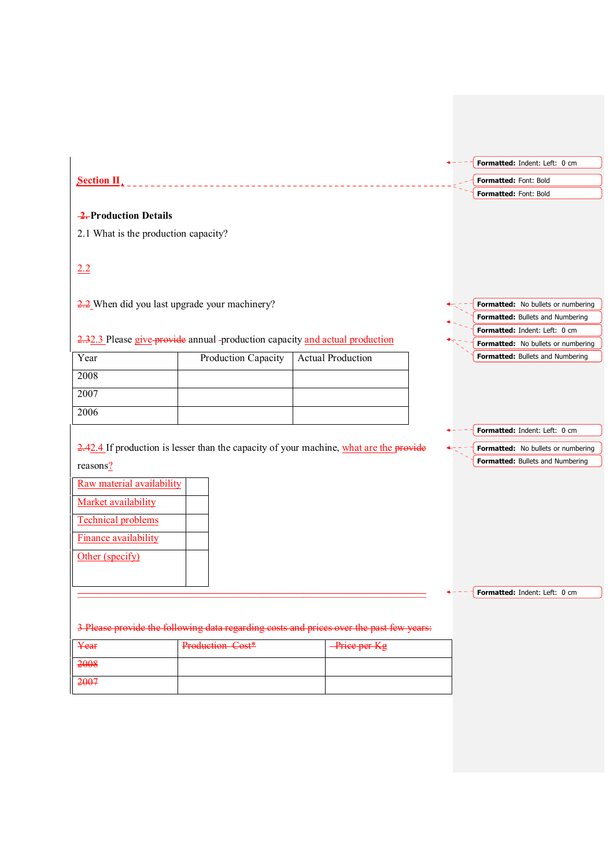|                                      |                                                                                         |                          | Formatted: Indent: Left: 0 cm      |
|--------------------------------------|-----------------------------------------------------------------------------------------|--------------------------|------------------------------------|
| Section II                           |                                                                                         |                          | Formatted: Font: Bold              |
|                                      |                                                                                         |                          | Formatted: Font: Bold              |
|                                      |                                                                                         |                          |                                    |
| 2. Production Details                |                                                                                         |                          |                                    |
| 2.1 What is the production capacity? |                                                                                         |                          |                                    |
|                                      |                                                                                         |                          |                                    |
| 2.2                                  |                                                                                         |                          |                                    |
|                                      |                                                                                         |                          |                                    |
|                                      | $\frac{2.2}{2}$ When did you last upgrade your machinery?                               |                          | Formatted: No bullets or numbering |
|                                      |                                                                                         |                          | Formatted: Bullets and Numbering   |
|                                      |                                                                                         |                          | Formatted: Indent: Left: 0 cm      |
|                                      | 2.32.3 Please give provide annual -production capacity and actual production            |                          | Formatted: No bullets or numbering |
| Year                                 | Production Capacity                                                                     | <b>Actual Production</b> | Formatted: Bullets and Numbering   |
| 2008                                 |                                                                                         |                          |                                    |
| 2007                                 |                                                                                         |                          |                                    |
|                                      |                                                                                         |                          |                                    |
| 2006                                 |                                                                                         |                          |                                    |
|                                      |                                                                                         |                          | Formatted: Indent: Left: 0 cm      |
|                                      | 2.42.4 If production is lesser than the capacity of your machine, what are the provide  |                          | Formatted: No bullets or numbering |
| reasons?                             |                                                                                         |                          | Formatted: Bullets and Numbering   |
| Raw material availability            |                                                                                         |                          |                                    |
|                                      |                                                                                         |                          |                                    |
| Market availability                  |                                                                                         |                          |                                    |
| <b>Technical problems</b>            |                                                                                         |                          |                                    |
| <b>Finance availability</b>          |                                                                                         |                          |                                    |
|                                      |                                                                                         |                          |                                    |
|                                      |                                                                                         |                          |                                    |
| Other (specify)                      |                                                                                         |                          |                                    |
|                                      |                                                                                         |                          |                                    |
|                                      |                                                                                         |                          |                                    |
|                                      |                                                                                         |                          |                                    |
|                                      | 3 Please provide the following data regarding costs and prices over the past few years: |                          |                                    |
| Year                                 | Production Cost*                                                                        | Price per Kg             | Formatted: Indent: Left: 0 cm      |

2007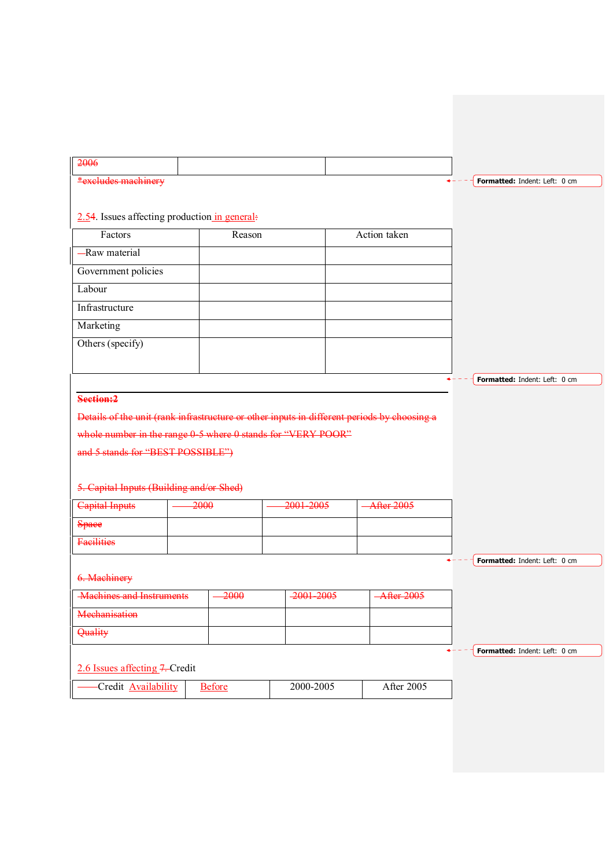| 2006                                                                                        |         |               |                |                       |                               |
|---------------------------------------------------------------------------------------------|---------|---------------|----------------|-----------------------|-------------------------------|
| *excludes machinery                                                                         |         |               |                |                       | Formatted: Indent: Left: 0 cm |
|                                                                                             |         |               |                |                       |                               |
| $2.54$ . Issues affecting production in general:                                            |         |               |                |                       |                               |
| Factors                                                                                     |         | Reason        |                | Action taken          |                               |
| -Raw material                                                                               |         |               |                |                       |                               |
| Government policies                                                                         |         |               |                |                       |                               |
| Labour                                                                                      |         |               |                |                       |                               |
| Infrastructure                                                                              |         |               |                |                       |                               |
| Marketing                                                                                   |         |               |                |                       |                               |
| Others (specify)                                                                            |         |               |                |                       |                               |
|                                                                                             |         |               |                |                       |                               |
|                                                                                             |         |               |                |                       | Formatted: Indent: Left: 0 cm |
| Section:2                                                                                   |         |               |                |                       |                               |
| Details of the unit (rank infrastructure or other inputs in different periods by choosing a |         |               |                |                       |                               |
| whole number in the range 0-5 where 0 stands for "VERY POOR"                                |         |               |                |                       |                               |
| and 5 stands for "BEST POSSIBLE")                                                           |         |               |                |                       |                               |
|                                                                                             |         |               |                |                       |                               |
| 5. Capital Inputs (Building and/or Shed)                                                    |         |               |                |                       |                               |
| Capital Inputs                                                                              | $-2000$ |               | 2001-2005      | <b>After 2005</b>     |                               |
| <b>Space</b>                                                                                |         |               |                |                       |                               |
| <b>Facilities</b>                                                                           |         |               |                |                       |                               |
|                                                                                             |         |               |                |                       | Formatted: Indent: Left: 0 cm |
| 6. Machinery                                                                                |         |               |                |                       |                               |
| <b>Machines and Instruments</b>                                                             |         | 2000          | $-2001 - 2005$ | $-\text{After } 2005$ |                               |
| Mechanisation                                                                               |         |               |                |                       |                               |
| Quality                                                                                     |         |               |                |                       |                               |
|                                                                                             |         |               |                |                       | Formatted: Indent: Left: 0 cm |
| 2.6 Issues affecting 7. Credit                                                              |         |               |                |                       |                               |
| Credit <b>Availability</b>                                                                  |         | <b>Before</b> | 2000-2005      | After 2005            |                               |
|                                                                                             |         |               |                |                       |                               |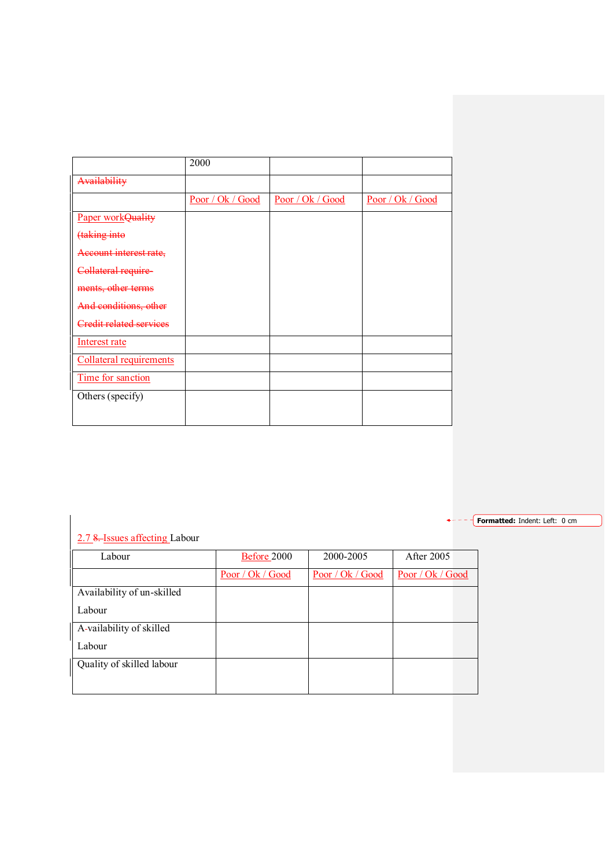|                                | 2000             |                  |                  |
|--------------------------------|------------------|------------------|------------------|
| Availability                   |                  |                  |                  |
|                                | Poor / Ok / Good | Poor / Ok / Good | Poor / Ok / Good |
| Paper workQuality              |                  |                  |                  |
| taking into                    |                  |                  |                  |
| Account interest rate,         |                  |                  |                  |
| Collateral require             |                  |                  |                  |
| ments, other terms             |                  |                  |                  |
| And conditions, other          |                  |                  |                  |
| <b>Credit related services</b> |                  |                  |                  |
| Interest rate                  |                  |                  |                  |
| Collateral requirements        |                  |                  |                  |
| Time for sanction              |                  |                  |                  |
| Others (specify)               |                  |                  |                  |
|                                |                  |                  |                  |

Formatted: Indent: Left: 0 cm

# 2.7 8. Issues affecting Labour

| Labour                     | Before 2000      | 2000-2005        | <b>After 2005</b> |
|----------------------------|------------------|------------------|-------------------|
|                            | Poor / Ok / Good | Poor / Ok / Good | Poor / Ok / Good  |
| Availability of un-skilled |                  |                  |                   |
| Labour                     |                  |                  |                   |
| A-vailability of skilled   |                  |                  |                   |
| Labour                     |                  |                  |                   |
| Quality of skilled labour  |                  |                  |                   |
|                            |                  |                  |                   |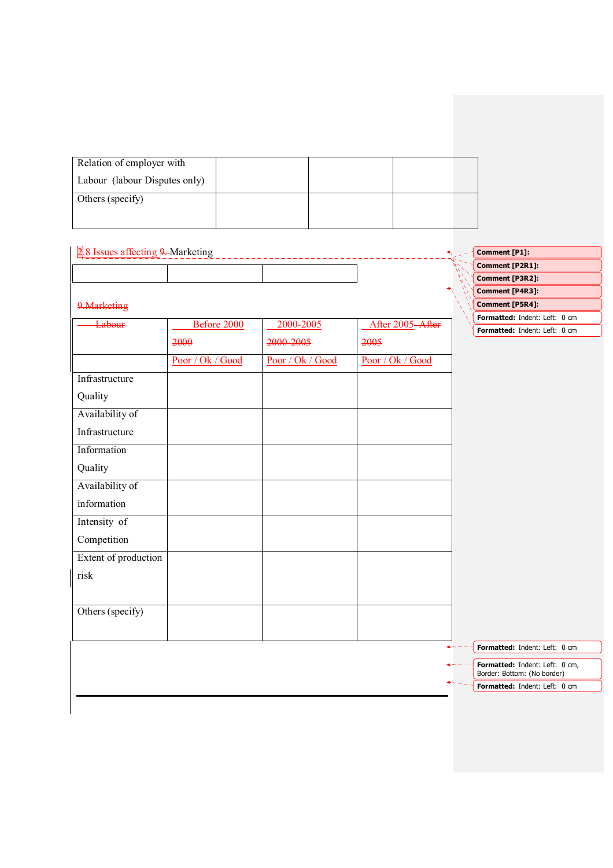| Relation of employer with     |  |  |
|-------------------------------|--|--|
| Labour (labour Disputes only) |  |  |
| Others (specify)              |  |  |
|                               |  |  |

| 2.8 Issues affecting 9. Marketing |                  |                  |                  | Comment [P1]:                  |
|-----------------------------------|------------------|------------------|------------------|--------------------------------|
|                                   |                  |                  |                  | Comment [P2R1]:                |
|                                   |                  |                  |                  | Comment [P3R2]:                |
|                                   |                  |                  |                  | Comment [P4R3]:                |
| 9. Marketing                      |                  |                  |                  | <b>Comment [P5R4]:</b>         |
| Labour                            | Before 2000      | 2000-2005        | After 2005-After | Formatted: Indent: Left: 0 cm  |
|                                   | 2000             | 2000-2005        | 2005             | Formatted: Indent: Left: 0 cm  |
|                                   | Poor / Ok / Good | Poor / Ok / Good | Poor / Ok / Good |                                |
| Infrastructure                    |                  |                  |                  |                                |
| Quality                           |                  |                  |                  |                                |
| Availability of                   |                  |                  |                  |                                |
| Infrastructure                    |                  |                  |                  |                                |
| Information                       |                  |                  |                  |                                |
| Quality                           |                  |                  |                  |                                |
| Availability of                   |                  |                  |                  |                                |
| information                       |                  |                  |                  |                                |
| Intensity of                      |                  |                  |                  |                                |
| Competition                       |                  |                  |                  |                                |
| Extent of production              |                  |                  |                  |                                |
| risk                              |                  |                  |                  |                                |
|                                   |                  |                  |                  |                                |
| Others (specify)                  |                  |                  |                  |                                |
|                                   |                  |                  |                  | Formatted: Indent: Left: 0 cm  |
|                                   |                  |                  |                  | Formatted: Indent: Left: 0 cm, |
|                                   |                  |                  |                  | Border: Bottom: (No border)    |
|                                   |                  |                  |                  | Formatted: Indent: Left: 0 cm  |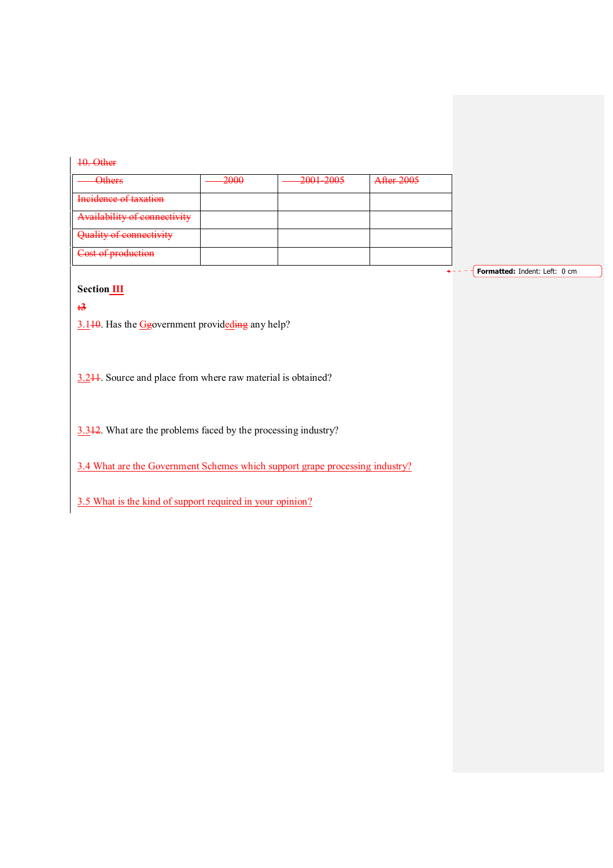| <b>Others</b>                | -2000 | 2001-2005 | <b>After 2005</b> |
|------------------------------|-------|-----------|-------------------|
| Incidence of taxation        |       |           |                   |
| Availability of connectivity |       |           |                   |
| Quality of connectivity      |       |           |                   |

Formatted: Indent: Left: 0 cm

 $\overline{\mathbf{A}}$ 

# **Section III**

:3

3.140. Has the Ggovernment provideding any help?

3.211. Source and place from where raw material is obtained?

3.312. What are the problems faced by the processing industry?

3.4 What are the Government Schemes which support grape processing industry?

3.5 What is the kind of support required in your opinion?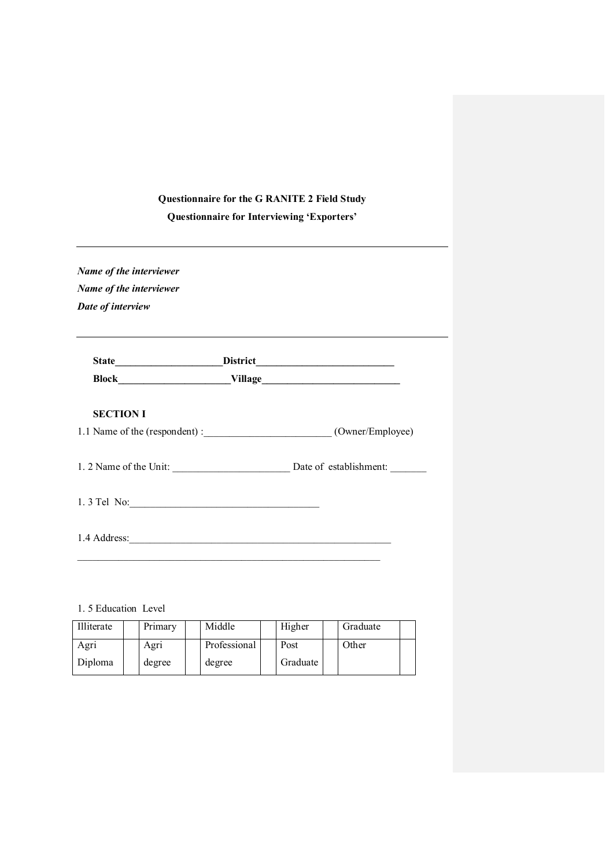# Questionnaire for the G RANITE 2 Field Study

Questionnaire for Interviewing 'Exporters'

Name of the interviewer Name of the interviewer Date of interview

| <b>State</b> | <b>District</b> |
|--------------|-----------------|
| <b>Block</b> | <b>Village</b>  |

# SECTION I

| 1.1 Name of the (respondent) : | (Owner/Employee) |
|--------------------------------|------------------|
|--------------------------------|------------------|

1. 2 Name of the Unit: \_\_\_\_\_\_\_\_\_\_\_\_\_\_\_\_\_\_\_\_\_\_\_ Date of establishment: \_\_\_\_\_\_\_

| $1.3$ Tel No: |  |
|---------------|--|
|               |  |

1.4 Address:

1. 5 Education Level

| Illiterate | Primary | Middle       | Higher   | Graduate |  |
|------------|---------|--------------|----------|----------|--|
| Agri       | Agri    | Professional | Post     | Other    |  |
| Diploma    | degree  | degree       | Graduate |          |  |

\_\_\_\_\_\_\_\_\_\_\_\_\_\_\_\_\_\_\_\_\_\_\_\_\_\_\_\_\_\_\_\_\_\_\_\_\_\_\_\_\_\_\_\_\_\_\_\_\_\_\_\_\_\_\_\_\_\_\_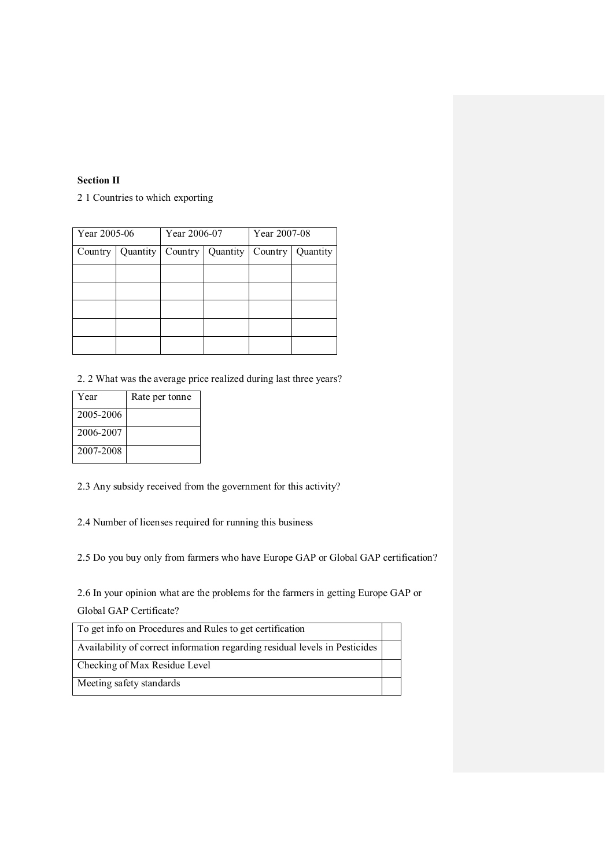## Section II

2 1 Countries to which exporting

| Year 2005-06 |          | Year 2006-07   |          | Year 2007-08 |          |
|--------------|----------|----------------|----------|--------------|----------|
| Country      | Quantity | $Country \mid$ | Quantity | Country      | Quantity |
|              |          |                |          |              |          |
|              |          |                |          |              |          |
|              |          |                |          |              |          |
|              |          |                |          |              |          |
|              |          |                |          |              |          |

2. 2 What was the average price realized during last three years?

| Year      | Rate per tonne |
|-----------|----------------|
| 2005-2006 |                |
| 2006-2007 |                |
| 2007-2008 |                |

2.3 Any subsidy received from the government for this activity?

2.4 Number of licenses required for running this business

2.5 Do you buy only from farmers who have Europe GAP or Global GAP certification?

2.6 In your opinion what are the problems for the farmers in getting Europe GAP or Global GAP Certificate?

| To get info on Procedures and Rules to get certification                    |  |
|-----------------------------------------------------------------------------|--|
| Availability of correct information regarding residual levels in Pesticides |  |
| Checking of Max Residue Level                                               |  |
| Meeting safety standards                                                    |  |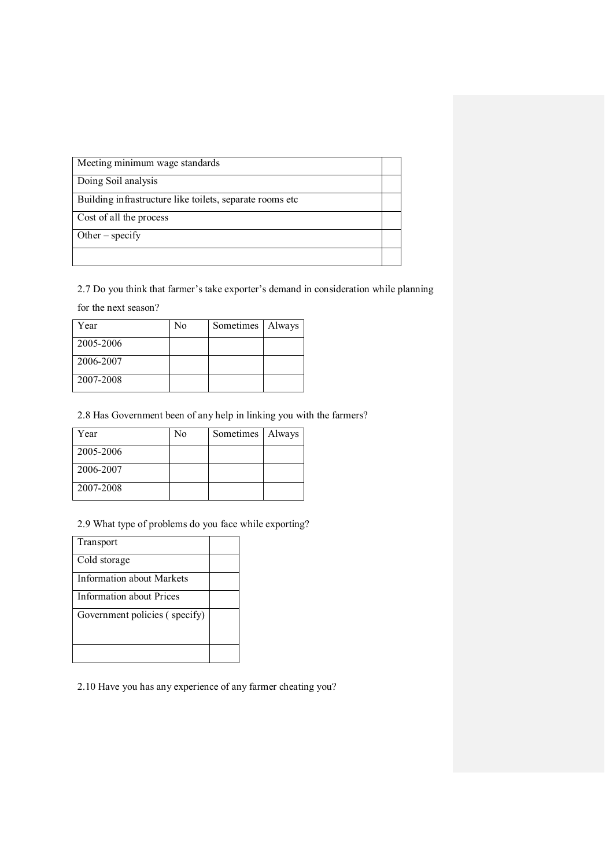| Meeting minimum wage standards                             |  |
|------------------------------------------------------------|--|
| Doing Soil analysis                                        |  |
| Building in frastructure like toilets, separate rooms etc. |  |
| Cost of all the process                                    |  |
| Other – specify                                            |  |
|                                                            |  |

2.7 Do you think that farmer's take exporter's demand in consideration while planning

for the next season?

| Year      | No | Sometimes   Always |  |
|-----------|----|--------------------|--|
| 2005-2006 |    |                    |  |
| 2006-2007 |    |                    |  |
| 2007-2008 |    |                    |  |

2.8 Has Government been of any help in linking you with the farmers?

| Year      | No | Sometimes   Always |  |
|-----------|----|--------------------|--|
| 2005-2006 |    |                    |  |
| 2006-2007 |    |                    |  |
| 2007-2008 |    |                    |  |

2.9 What type of problems do you face while exporting?

| Transport                       |  |
|---------------------------------|--|
| Cold storage                    |  |
| Information about Markets       |  |
| <b>Information about Prices</b> |  |
| Government policies (specify)   |  |
|                                 |  |
|                                 |  |

2.10 Have you has any experience of any farmer cheating you?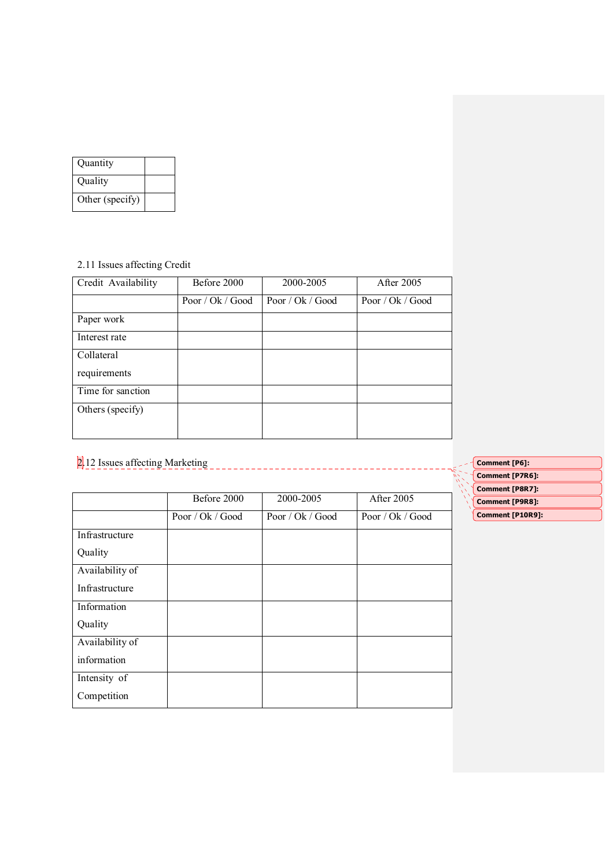| Quantity        |  |
|-----------------|--|
| Quality         |  |
| Other (specify) |  |

# 2.11 Issues affecting Credit

| Credit Availability | Before 2000      | 2000-2005        | After 2005       |
|---------------------|------------------|------------------|------------------|
|                     | Poor / Ok / Good | Poor / Ok / Good | Poor / Ok / Good |
| Paper work          |                  |                  |                  |
| Interest rate       |                  |                  |                  |
| Collateral          |                  |                  |                  |
| requirements        |                  |                  |                  |
| Time for sanction   |                  |                  |                  |
| Others (specify)    |                  |                  |                  |
|                     |                  |                  |                  |

2.12 Issues affecting Marketing

|                 | Before 2000      | 2000-2005        | After 2005       |
|-----------------|------------------|------------------|------------------|
|                 | Poor / Ok / Good | Poor / Ok / Good | Poor / Ok / Good |
| Infrastructure  |                  |                  |                  |
| Quality         |                  |                  |                  |
| Availability of |                  |                  |                  |
| Infrastructure  |                  |                  |                  |
| Information     |                  |                  |                  |
| Quality         |                  |                  |                  |
| Availability of |                  |                  |                  |
| information     |                  |                  |                  |
| Intensity of    |                  |                  |                  |
| Competition     |                  |                  |                  |

| Comment [P6]:          |
|------------------------|
| <b>Comment [P7R6]:</b> |
| <b>Comment [P8R7]:</b> |
| <b>Comment [P9R8]:</b> |
| Comment [P10R9]:       |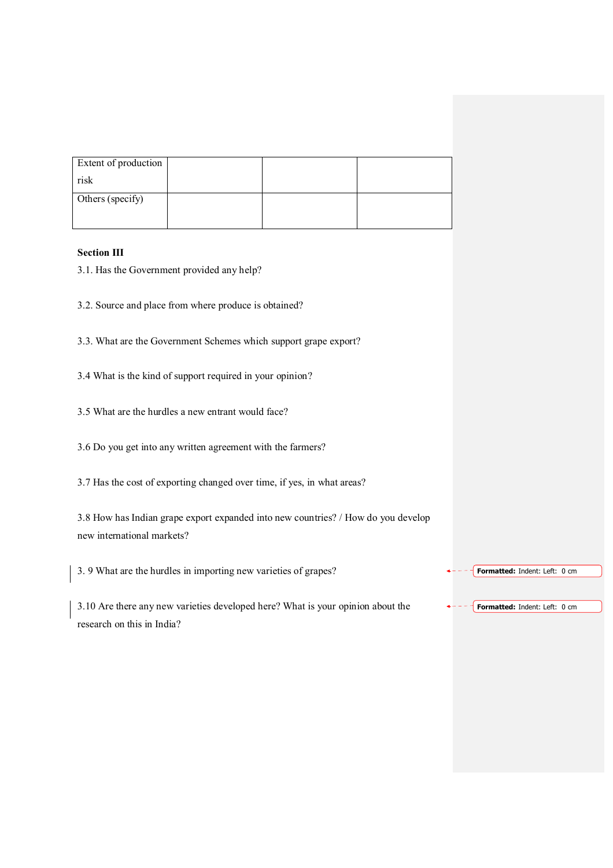| Extent of production |  |  |
|----------------------|--|--|
| risk                 |  |  |
| Others (specify)     |  |  |
|                      |  |  |

## Section III

- 3.1. Has the Government provided any help?
- 3.2. Source and place from where produce is obtained?
- 3.3. What are the Government Schemes which support grape export?
- 3.4 What is the kind of support required in your opinion?
- 3.5 What are the hurdles a new entrant would face?
- 3.6 Do you get into any written agreement with the farmers?
- 3.7 Has the cost of exporting changed over time, if yes, in what areas?

3.8 How has Indian grape export expanded into new countries? / How do you develop new international markets?

3. 9 What are the hurdles in importing new varieties of grapes?

3.10 Are there any new varieties developed here? What is your opinion about the research on this in India? Formatted: Indent: Left: 0 cm

Formatted: Indent: Left: 0 cm